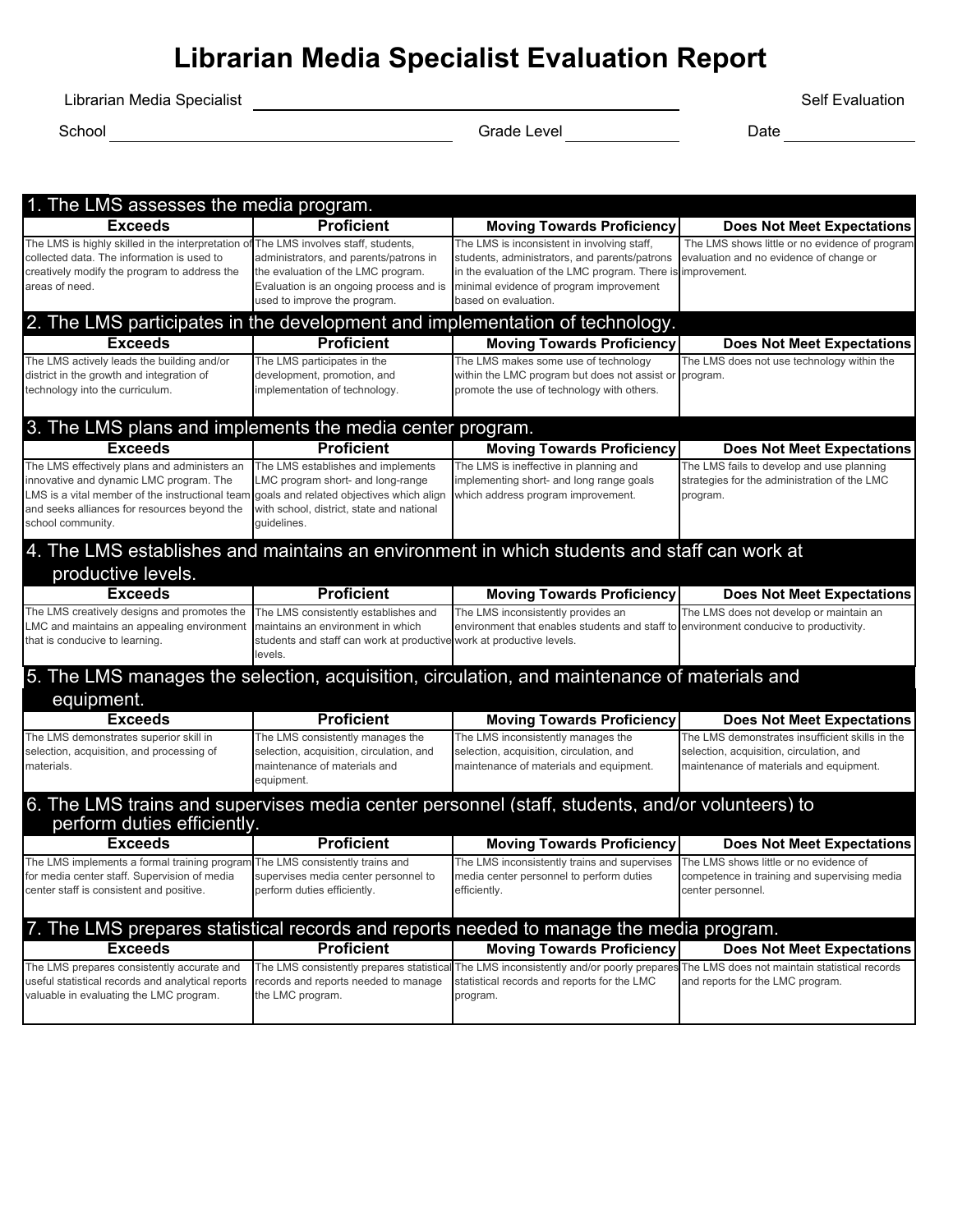# **Librarian Media Specialist Evaluation Report**

Librarian Media Specialist **Superint Contract Contract Contract Contract Contract Contract Contract Contract Contract Contract Contract Contract Contract Contract Contract Contract Contract Contract Contract Contract Contr** 

School Grade Level Date

| 1. The LMS assesses the media program.                                                                                                                                                                          |                                                                                                                                                                                              |                                                                                                                                                                                                                                |                                                                                                                                        |
|-----------------------------------------------------------------------------------------------------------------------------------------------------------------------------------------------------------------|----------------------------------------------------------------------------------------------------------------------------------------------------------------------------------------------|--------------------------------------------------------------------------------------------------------------------------------------------------------------------------------------------------------------------------------|----------------------------------------------------------------------------------------------------------------------------------------|
| <b>Exceeds</b>                                                                                                                                                                                                  | <b>Proficient</b>                                                                                                                                                                            | <b>Moving Towards Proficiency</b>                                                                                                                                                                                              | <b>Does Not Meet Expectations</b>                                                                                                      |
| The LMS is highly skilled in the interpretation o<br>collected data. The information is used to<br>creatively modify the program to address the<br>areas of need.                                               | The LMS involves staff, students,<br>administrators, and parents/patrons in<br>the evaluation of the LMC program.<br>Evaluation is an ongoing process and is<br>used to improve the program. | The LMS is inconsistent in involving staff,<br>students, administrators, and parents/patrons<br>in the evaluation of the LMC program. There is improvement.<br>minimal evidence of program improvement<br>based on evaluation. | The LMS shows little or no evidence of program<br>evaluation and no evidence of change or                                              |
| 2. The LMS participates in the development and implementation of technology.                                                                                                                                    |                                                                                                                                                                                              |                                                                                                                                                                                                                                |                                                                                                                                        |
| <b>Exceeds</b>                                                                                                                                                                                                  | <b>Proficient</b>                                                                                                                                                                            | <b>Moving Towards Proficiency</b>                                                                                                                                                                                              | <b>Does Not Meet Expectations</b>                                                                                                      |
| The LMS actively leads the building and/or<br>district in the growth and integration of<br>technology into the curriculum.                                                                                      | The LMS participates in the<br>development, promotion, and<br>implementation of technology.                                                                                                  | The LMS makes some use of technology<br>within the LMC program but does not assist or program.<br>promote the use of technology with others.                                                                                   | The LMS does not use technology within the                                                                                             |
| 3. The LMS plans and implements the media center program.                                                                                                                                                       |                                                                                                                                                                                              |                                                                                                                                                                                                                                |                                                                                                                                        |
| <b>Exceeds</b>                                                                                                                                                                                                  | <b>Proficient</b>                                                                                                                                                                            | <b>Moving Towards Proficiency</b>                                                                                                                                                                                              | <b>Does Not Meet Expectations</b>                                                                                                      |
| The LMS effectively plans and administers an<br>innovative and dynamic LMC program. The<br>LMS is a vital member of the instructional team<br>and seeks alliances for resources beyond the<br>school community. | The LMS establishes and implements<br>LMC program short- and long-range<br>goals and related objectives which align<br>with school, district, state and national<br>quidelines.              | The LMS is ineffective in planning and<br>implementing short- and long range goals<br>which address program improvement.                                                                                                       | The LMS fails to develop and use planning<br>strategies for the administration of the LMC<br>program.                                  |
| 4. The LMS establishes and maintains an environment in which students and staff can work at<br>productive levels.                                                                                               |                                                                                                                                                                                              |                                                                                                                                                                                                                                |                                                                                                                                        |
| <b>Exceeds</b>                                                                                                                                                                                                  | <b>Proficient</b>                                                                                                                                                                            | <b>Moving Towards Proficiency</b>                                                                                                                                                                                              | <b>Does Not Meet Expectations</b>                                                                                                      |
| The LMS creatively designs and promotes the<br>LMC and maintains an appealing environment<br>that is conducive to learning.                                                                                     | The LMS consistently establishes and<br>maintains an environment in which<br>students and staff can work at productive<br>levels.                                                            | The LMS inconsistently provides an<br>environment that enables students and staff to environment conducive to productivity.<br>work at productive levels.                                                                      | The LMS does not develop or maintain an                                                                                                |
| equipment.                                                                                                                                                                                                      |                                                                                                                                                                                              | 5. The LMS manages the selection, acquisition, circulation, and maintenance of materials and                                                                                                                                   |                                                                                                                                        |
| <b>Exceeds</b>                                                                                                                                                                                                  | <b>Proficient</b>                                                                                                                                                                            | <b>Moving Towards Proficiency</b>                                                                                                                                                                                              | <b>Does Not Meet Expectations</b>                                                                                                      |
| The LMS demonstrates superior skill in<br>selection, acquisition, and processing of<br>materials.                                                                                                               | The LMS consistently manages the<br>selection, acquisition, circulation, and<br>maintenance of materials and<br>equipment.                                                                   | The LMS inconsistently manages the<br>selection, acquisition, circulation, and<br>maintenance of materials and equipment.                                                                                                      | The LMS demonstrates insufficient skills in the<br>selection, acquisition, circulation, and<br>maintenance of materials and equipment. |
| perform duties efficiently.                                                                                                                                                                                     |                                                                                                                                                                                              | 6. The LMS trains and supervises media center personnel (staff, students, and/or volunteers) to                                                                                                                                |                                                                                                                                        |
| <b>Exceeds</b>                                                                                                                                                                                                  | <b>Proficient</b>                                                                                                                                                                            | <b>Moving Towards Proficiency</b>                                                                                                                                                                                              | <b>Does Not Meet Expectations</b>                                                                                                      |
| The LMS implements a formal training program<br>for media center staff. Supervision of media<br>center staff is consistent and positive.                                                                        | The LMS consistently trains and<br>supervises media center personnel to<br>perform duties efficiently.                                                                                       | The LMS inconsistently trains and supervises<br>media center personnel to perform duties<br>efficiently.                                                                                                                       | The LMS shows little or no evidence of<br>competence in training and supervising media<br>center personnel.                            |
|                                                                                                                                                                                                                 |                                                                                                                                                                                              | 7. The LMS prepares statistical records and reports needed to manage the media program.                                                                                                                                        |                                                                                                                                        |
| <b>Exceeds</b>                                                                                                                                                                                                  | <b>Proficient</b>                                                                                                                                                                            | <b>Moving Towards Proficiency</b>                                                                                                                                                                                              | <b>Does Not Meet Expectations</b>                                                                                                      |
| The LMS prepares consistently accurate and<br>useful statistical records and analytical reports<br>valuable in evaluating the LMC program.                                                                      | The LMS consistently prepares statistical<br>records and reports needed to manage<br>the LMC program.                                                                                        | statistical records and reports for the LMC<br>program.                                                                                                                                                                        | The LMS inconsistently and/or poorly prepares The LMS does not maintain statistical records<br>and reports for the LMC program.        |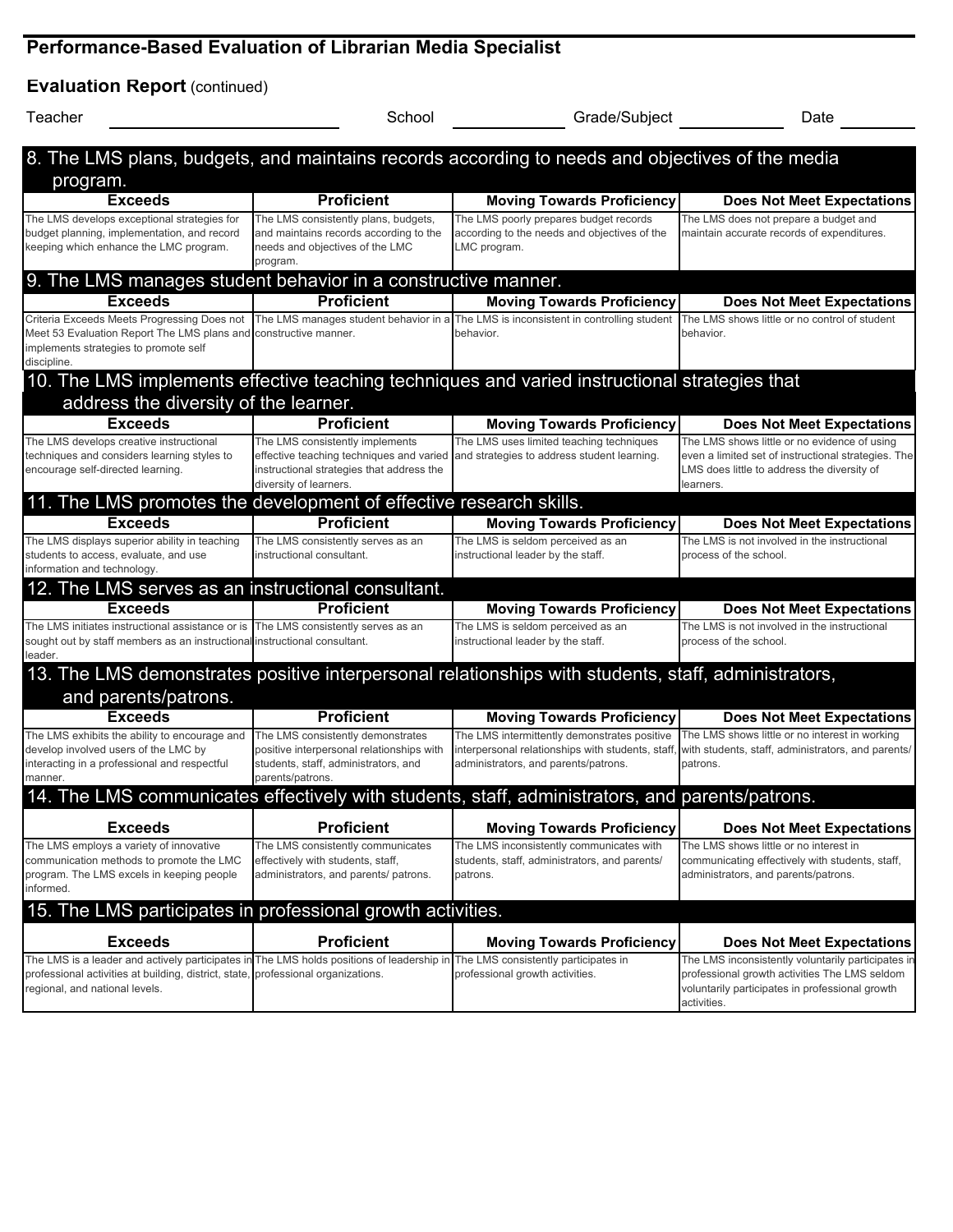## **Performance-Based Evaluation of Librarian Media Specialist**

| <b>Evaluation Report (continued)</b>                                                                                                                                                                                                                         |                                                                                                                                                    |                                                                                                        |                                                                                                                                                                 |
|--------------------------------------------------------------------------------------------------------------------------------------------------------------------------------------------------------------------------------------------------------------|----------------------------------------------------------------------------------------------------------------------------------------------------|--------------------------------------------------------------------------------------------------------|-----------------------------------------------------------------------------------------------------------------------------------------------------------------|
| Teacher                                                                                                                                                                                                                                                      | School                                                                                                                                             | Grade/Subject                                                                                          | Date                                                                                                                                                            |
| 8. The LMS plans, budgets, and maintains records according to needs and objectives of the media                                                                                                                                                              |                                                                                                                                                    |                                                                                                        |                                                                                                                                                                 |
| program.                                                                                                                                                                                                                                                     |                                                                                                                                                    |                                                                                                        |                                                                                                                                                                 |
| <b>Exceeds</b>                                                                                                                                                                                                                                               | <b>Proficient</b>                                                                                                                                  | <b>Moving Towards Proficiency</b>                                                                      | <b>Does Not Meet Expectations</b>                                                                                                                               |
| The LMS develops exceptional strategies for<br>budget planning, implementation, and record<br>keeping which enhance the LMC program.                                                                                                                         | The LMS consistently plans, budgets,<br>and maintains records according to the<br>needs and objectives of the LMC<br>program.                      | The LMS poorly prepares budget records<br>according to the needs and objectives of the<br>LMC program. | The LMS does not prepare a budget and<br>maintain accurate records of expenditures.                                                                             |
| 9. The LMS manages student behavior in a constructive manner.                                                                                                                                                                                                |                                                                                                                                                    |                                                                                                        |                                                                                                                                                                 |
| <b>Exceeds</b>                                                                                                                                                                                                                                               | <b>Proficient</b>                                                                                                                                  | <b>Moving Towards Proficiency</b>                                                                      | <b>Does Not Meet Expectations</b>                                                                                                                               |
| Criteria Exceeds Meets Progressing Does not The LMS manages student behavior in a The LMS is inconsistent in controlling student<br>Meet 53 Evaluation Report The LMS plans and constructive manner.<br>implements strategies to promote self<br>discipline. |                                                                                                                                                    | behavior.                                                                                              | The LMS shows little or no control of student<br>behavior.                                                                                                      |
| 10. The LMS implements effective teaching techniques and varied instructional strategies that<br>address the diversity of the learner.                                                                                                                       |                                                                                                                                                    |                                                                                                        |                                                                                                                                                                 |
| <b>Exceeds</b>                                                                                                                                                                                                                                               | <b>Proficient</b>                                                                                                                                  | <b>Moving Towards Proficiency</b>                                                                      | <b>Does Not Meet Expectations</b>                                                                                                                               |
| The LMS develops creative instructional<br>techniques and considers learning styles to<br>encourage self-directed learning.                                                                                                                                  | The LMS consistently implements<br>effective teaching techniques and varied<br>instructional strategies that address the<br>diversity of learners. | The LMS uses limited teaching techniques<br>and strategies to address student learning.                | The LMS shows little or no evidence of using<br>even a limited set of instructional strategies. The<br>LMS does little to address the diversity of<br>learners. |
| 11. The LMS promotes the development of effective research skills.                                                                                                                                                                                           |                                                                                                                                                    |                                                                                                        |                                                                                                                                                                 |
| <b>Exceeds</b>                                                                                                                                                                                                                                               | <b>Proficient</b>                                                                                                                                  | <b>Moving Towards Proficiency</b>                                                                      | <b>Does Not Meet Expectations</b>                                                                                                                               |
| The LMS displays superior ability in teaching<br>students to access, evaluate, and use<br>information and technology.                                                                                                                                        | The LMS consistently serves as an<br>instructional consultant.                                                                                     | The LMS is seldom perceived as an<br>instructional leader by the staff.                                | The LMS is not involved in the instructional<br>process of the school.                                                                                          |
| 12. The LMS serves as an instructional consultant.                                                                                                                                                                                                           |                                                                                                                                                    |                                                                                                        |                                                                                                                                                                 |
| <b>Exceeds</b>                                                                                                                                                                                                                                               | <b>Proficient</b>                                                                                                                                  | <b>Moving Towards Proficiency</b>                                                                      | <b>Does Not Meet Expectations</b>                                                                                                                               |
| The LMS initiates instructional assistance or is The LMS consistently serves as an<br>sought out by staff members as an instructional instructional consultant.<br>leader.                                                                                   |                                                                                                                                                    | The LMS is seldom perceived as an<br>instructional leader by the staff.                                | The LMS is not involved in the instructional<br>process of the school.                                                                                          |
|                                                                                                                                                                                                                                                              |                                                                                                                                                    | 13. The LMS demonstrates positive interpersonal relationships with students, staff, administrators,    |                                                                                                                                                                 |
| and parents/patrons.                                                                                                                                                                                                                                         |                                                                                                                                                    |                                                                                                        |                                                                                                                                                                 |
| <b>Exceeds</b><br>The LMS exhibits the ability to encourage and                                                                                                                                                                                              | <b>Proficient</b><br>The LMS consistently demonstrates                                                                                             | <b>Moving Towards Proficiency</b><br>The LMS intermittently demonstrates positive                      | <b>Does Not Meet Expectations</b><br>The LMS shows little or no interest in working                                                                             |
| develop involved users of the LMC by<br>interacting in a professional and respectful<br>manner.                                                                                                                                                              | positive interpersonal relationships with<br>students, staff, administrators, and<br>parents/patrons.                                              | interpersonal relationships with students, staff,<br>administrators, and parents/patrons.              | with students, staff, administrators, and parents/<br>patrons.                                                                                                  |
|                                                                                                                                                                                                                                                              |                                                                                                                                                    | 14. The LMS communicates effectively with students, staff, administrators, and parents/patrons.        |                                                                                                                                                                 |
| <b>Exceeds</b>                                                                                                                                                                                                                                               | <b>Proficient</b>                                                                                                                                  | <b>Moving Towards Proficiency</b>                                                                      | <b>Does Not Meet Expectations</b>                                                                                                                               |
| The LMS employs a variety of innovative<br>communication methods to promote the LMC<br>program. The LMS excels in keeping people<br>informed.                                                                                                                | The LMS consistently communicates<br>effectively with students, staff,<br>administrators, and parents/ patrons.                                    | The LMS inconsistently communicates with<br>students, staff, administrators, and parents/<br>patrons.  | The LMS shows little or no interest in<br>communicating effectively with students, staff,<br>administrators, and parents/patrons.                               |

| 15. The LMS participates in professional growth activities.                                                                                                                                                                                           |                   |                                   |                                                                                                                                                                       |
|-------------------------------------------------------------------------------------------------------------------------------------------------------------------------------------------------------------------------------------------------------|-------------------|-----------------------------------|-----------------------------------------------------------------------------------------------------------------------------------------------------------------------|
| Exceeds                                                                                                                                                                                                                                               | <b>Proficient</b> | <b>Moving Towards Proficiency</b> | <b>Does Not Meet Expectations</b>                                                                                                                                     |
| The LMS is a leader and actively participates in The LMS holds positions of leadership in The LMS consistently participates in<br>professional activities at building, district, state, professional organizations.<br>regional, and national levels. |                   | professional growth activities.   | The LMS inconsistently voluntarily participates in<br>professional growth activities The LMS seldom<br>voluntarily participates in professional growth<br>activities. |